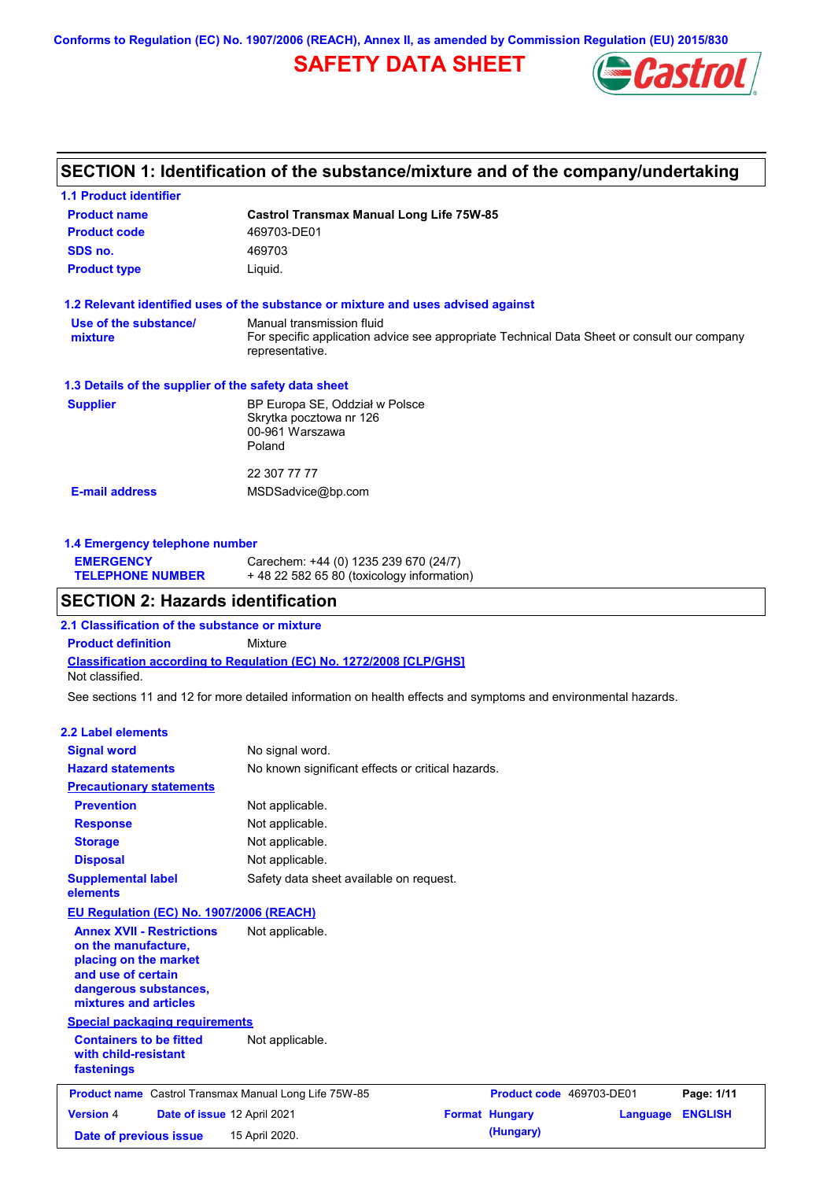**Conforms to Regulation (EC) No. 1907/2006 (REACH), Annex II, as amended by Commission Regulation (EU) 2015/830**

## **SAFETY DATA SHEET**



## **SECTION 1: Identification of the substance/mixture and of the company/undertaking**

| <b>Castrol Transmax Manual Long Life 75W-85</b>                                                                                             |
|---------------------------------------------------------------------------------------------------------------------------------------------|
| 469703-DE01                                                                                                                                 |
| 469703                                                                                                                                      |
| Liquid.                                                                                                                                     |
| 1.2 Relevant identified uses of the substance or mixture and uses advised against                                                           |
| Manual transmission fluid<br>For specific application advice see appropriate Technical Data Sheet or consult our company<br>representative. |
| 1.3 Details of the supplier of the safety data sheet                                                                                        |
| BP Europa SE, Oddział w Polsce<br>Skrytka pocztowa nr 126<br>00-961 Warszawa<br>Poland                                                      |
| 22 307 77 77                                                                                                                                |
| MSDSadvice@bp.com                                                                                                                           |
|                                                                                                                                             |

### **1.4 Emergency telephone number**

| <b>EMERGENCY</b>        | Carechem: +44 (0) 1235 239 670 (24/7)       |
|-------------------------|---------------------------------------------|
| <b>TELEPHONE NUMBER</b> | $+48$ 22 582 65 80 (toxicology information) |

### **SECTION 2: Hazards identification**

**2.1 Classification of the substance or mixture**

**Classification according to Regulation (EC) No. 1272/2008 [CLP/GHS] Product definition** Mixture Not classified.

See sections 11 and 12 for more detailed information on health effects and symptoms and environmental hazards.

#### **2.2 Label elements**

| <b>Signal word</b><br><b>Hazard statements</b>                                                                                                           | No signal word.<br>No known significant effects or critical hazards. |                          |          |                |
|----------------------------------------------------------------------------------------------------------------------------------------------------------|----------------------------------------------------------------------|--------------------------|----------|----------------|
| <b>Precautionary statements</b>                                                                                                                          |                                                                      |                          |          |                |
| <b>Prevention</b>                                                                                                                                        | Not applicable.                                                      |                          |          |                |
| <b>Response</b>                                                                                                                                          | Not applicable.                                                      |                          |          |                |
| <b>Storage</b>                                                                                                                                           | Not applicable.                                                      |                          |          |                |
| <b>Disposal</b>                                                                                                                                          | Not applicable.                                                      |                          |          |                |
| <b>Supplemental label</b><br>elements                                                                                                                    | Safety data sheet available on request.                              |                          |          |                |
| <b>EU Regulation (EC) No. 1907/2006 (REACH)</b>                                                                                                          |                                                                      |                          |          |                |
| <b>Annex XVII - Restrictions</b><br>on the manufacture,<br>placing on the market<br>and use of certain<br>dangerous substances,<br>mixtures and articles | Not applicable.                                                      |                          |          |                |
| <b>Special packaging requirements</b>                                                                                                                    |                                                                      |                          |          |                |
| <b>Containers to be fitted</b><br>with child-resistant<br>fastenings                                                                                     | Not applicable.                                                      |                          |          |                |
| <b>Product name</b> Castrol Transmax Manual Long Life 75W-85                                                                                             |                                                                      | Product code 469703-DE01 |          | Page: 1/11     |
| <b>Version 4</b><br>Date of issue 12 April 2021                                                                                                          |                                                                      | <b>Format Hungary</b>    | Language | <b>ENGLISH</b> |
| Date of previous issue                                                                                                                                   | 15 April 2020.                                                       | (Hungary)                |          |                |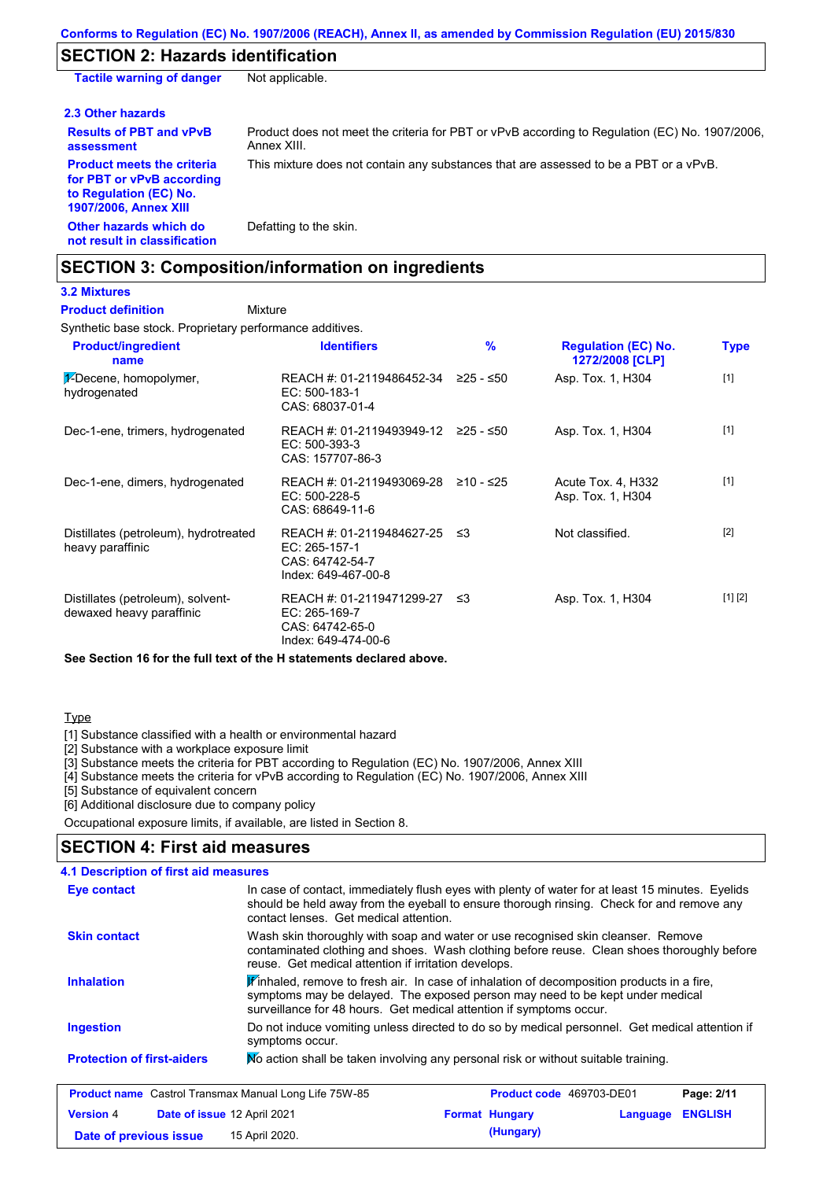### **SECTION 2: Hazards identification**

| <b>Tactile warning of danger</b>                                                                                         | Not applicable.                                                                                               |
|--------------------------------------------------------------------------------------------------------------------------|---------------------------------------------------------------------------------------------------------------|
| 2.3 Other hazards                                                                                                        |                                                                                                               |
| <b>Results of PBT and vPvB</b><br>assessment                                                                             | Product does not meet the criteria for PBT or vPvB according to Regulation (EC) No. 1907/2006,<br>Annex XIII. |
| <b>Product meets the criteria</b><br>for PBT or vPvB according<br>to Regulation (EC) No.<br><b>1907/2006, Annex XIII</b> | This mixture does not contain any substances that are assessed to be a PBT or a vPvB.                         |
| Other hazards which do<br>not result in classification                                                                   | Defatting to the skin.                                                                                        |

### **SECTION 3: Composition/information on ingredients**

## **3.2 Mixtures**

Mixture **Product definition**

Synthetic base stock. Proprietary performance additives.

| <b>Product/ingredient</b><br>name                             | <b>Identifiers</b>                                                                   | $\frac{9}{6}$ | <b>Regulation (EC) No.</b><br>1272/2008 [CLP] | <b>Type</b> |
|---------------------------------------------------------------|--------------------------------------------------------------------------------------|---------------|-----------------------------------------------|-------------|
| $\frac{1}{2}$ -Decene, homopolymer,<br>hydrogenated           | REACH #: 01-2119486452-34<br>$EC: 500-183-1$<br>CAS: 68037-01-4                      | ≥25 - ≤50     | Asp. Tox. 1, H304                             | $[1]$       |
| Dec-1-ene, trimers, hydrogenated                              | REACH #: 01-2119493949-12 ≥25 - ≤50<br>EC: 500-393-3<br>CAS: 157707-86-3             |               | Asp. Tox. 1, H304                             | $[1]$       |
| Dec-1-ene, dimers, hydrogenated                               | REACH #: 01-2119493069-28<br>$EC: 500-228-5$<br>CAS: 68649-11-6                      | ≥10 - ≤25     | Acute Tox. 4, H332<br>Asp. Tox. 1, H304       | $[1]$       |
| Distillates (petroleum), hydrotreated<br>heavy paraffinic     | REACH #: 01-2119484627-25<br>EC: 265-157-1<br>CAS: 64742-54-7<br>Index: 649-467-00-8 | ≤3            | Not classified.                               | $[2]$       |
| Distillates (petroleum), solvent-<br>dewaxed heavy paraffinic | REACH #: 01-2119471299-27<br>EC: 265-169-7<br>CAS: 64742-65-0<br>Index: 649-474-00-6 | ב≥            | Asp. Tox. 1, H304                             | [1] [2]     |

**See Section 16 for the full text of the H statements declared above.**

#### **Type**

[1] Substance classified with a health or environmental hazard

[2] Substance with a workplace exposure limit

[3] Substance meets the criteria for PBT according to Regulation (EC) No. 1907/2006, Annex XIII

[4] Substance meets the criteria for vPvB according to Regulation (EC) No. 1907/2006, Annex XIII

**Date of previous issue 15 April 2020. (Hungary)** (Hungary)

[5] Substance of equivalent concern

[6] Additional disclosure due to company policy

Occupational exposure limits, if available, are listed in Section 8.

### **SECTION 4: First aid measures**

| 4.1 Description of first aid measures                                                                                                                                                                                                                  |                                                                                                                                                                                                                                                               |                                                                                                                                                                                                                                        |                       |                          |          |                |
|--------------------------------------------------------------------------------------------------------------------------------------------------------------------------------------------------------------------------------------------------------|---------------------------------------------------------------------------------------------------------------------------------------------------------------------------------------------------------------------------------------------------------------|----------------------------------------------------------------------------------------------------------------------------------------------------------------------------------------------------------------------------------------|-----------------------|--------------------------|----------|----------------|
| In case of contact, immediately flush eyes with plenty of water for at least 15 minutes. Eyelids<br>Eye contact<br>should be held away from the eyeball to ensure thorough rinsing. Check for and remove any<br>contact lenses. Get medical attention. |                                                                                                                                                                                                                                                               |                                                                                                                                                                                                                                        |                       |                          |          |                |
| <b>Skin contact</b>                                                                                                                                                                                                                                    |                                                                                                                                                                                                                                                               | Wash skin thoroughly with soap and water or use recognised skin cleanser. Remove<br>contaminated clothing and shoes. Wash clothing before reuse. Clean shoes thoroughly before<br>reuse. Get medical attention if irritation develops. |                       |                          |          |                |
| <b>Inhalation</b>                                                                                                                                                                                                                                      | $\mathbf{F}$ inhaled, remove to fresh air. In case of inhalation of decomposition products in a fire,<br>symptoms may be delayed. The exposed person may need to be kept under medical<br>surveillance for 48 hours. Get medical attention if symptoms occur. |                                                                                                                                                                                                                                        |                       |                          |          |                |
| <b>Ingestion</b>                                                                                                                                                                                                                                       |                                                                                                                                                                                                                                                               | Do not induce vomiting unless directed to do so by medical personnel. Get medical attention if<br>symptoms occur.                                                                                                                      |                       |                          |          |                |
| <b>Protection of first-aiders</b>                                                                                                                                                                                                                      |                                                                                                                                                                                                                                                               | No action shall be taken involving any personal risk or without suitable training.                                                                                                                                                     |                       |                          |          |                |
|                                                                                                                                                                                                                                                        |                                                                                                                                                                                                                                                               | <b>Product name</b> Castrol Transmax Manual Long Life 75W-85                                                                                                                                                                           |                       | Product code 469703-DE01 |          | Page: 2/11     |
| <b>Version 4</b>                                                                                                                                                                                                                                       | Date of issue 12 April 2021                                                                                                                                                                                                                                   |                                                                                                                                                                                                                                        | <b>Format Hungary</b> |                          | Language | <b>ENGLISH</b> |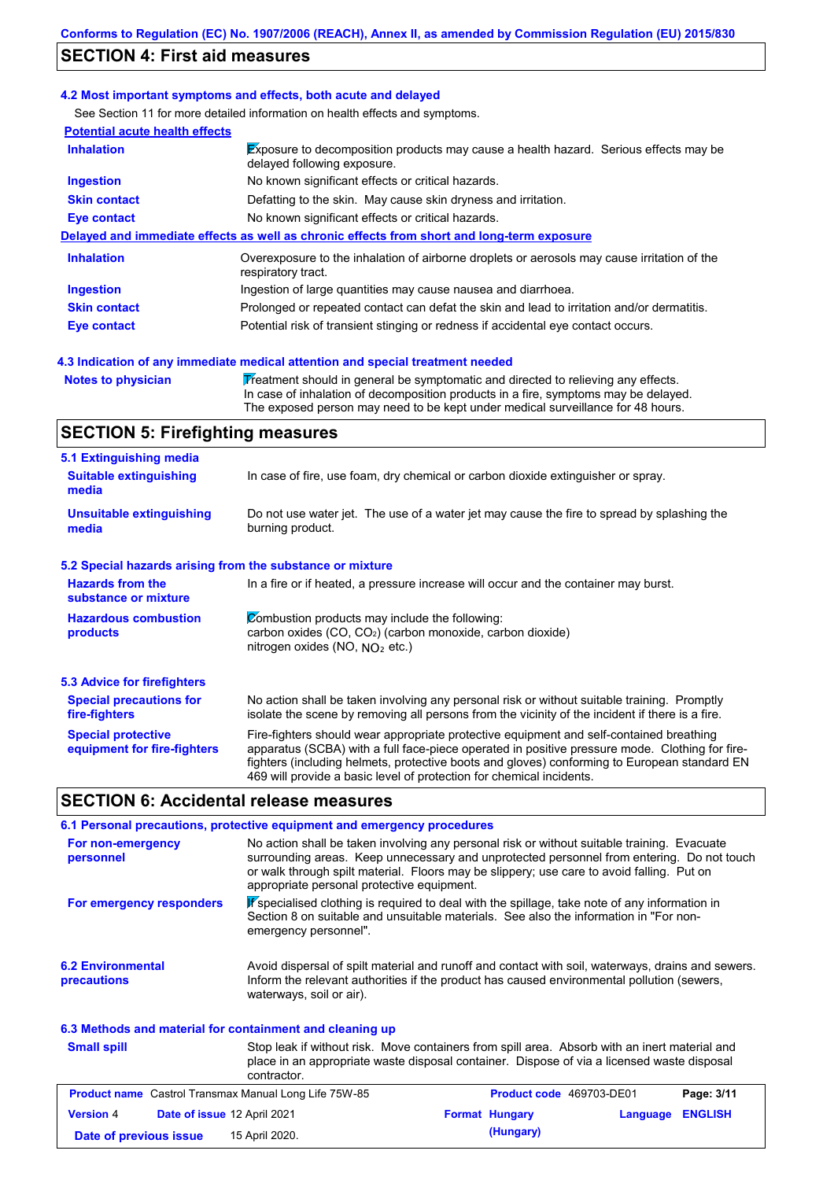### **SECTION 4: First aid measures**

#### **4.2 Most important symptoms and effects, both acute and delayed**

See Section 11 for more detailed information on health effects and symptoms.

| <b>Potential acute health effects</b> |                                                                                                                     |
|---------------------------------------|---------------------------------------------------------------------------------------------------------------------|
| <b>Inhalation</b>                     | Exposure to decomposition products may cause a health hazard. Serious effects may be<br>delayed following exposure. |
| <b>Ingestion</b>                      | No known significant effects or critical hazards.                                                                   |
| <b>Skin contact</b>                   | Defatting to the skin. May cause skin dryness and irritation.                                                       |
| Eye contact                           | No known significant effects or critical hazards.                                                                   |
|                                       | Delayed and immediate effects as well as chronic effects from short and long-term exposure                          |
| <b>Inhalation</b>                     | Overexposure to the inhalation of airborne droplets or aerosols may cause irritation of the<br>respiratory tract.   |
| <b>Ingestion</b>                      | Ingestion of large quantities may cause nausea and diarrhoea.                                                       |
| <b>Skin contact</b>                   | Prolonged or repeated contact can defat the skin and lead to irritation and/or dermatitis.                          |
| Eye contact                           | Potential risk of transient stinging or redness if accidental eye contact occurs.                                   |
|                                       |                                                                                                                     |

#### **4.3 Indication of any immediate medical attention and special treatment needed**

**Notes to physician Treatment should in general be symptomatic and directed to relieving any effects.** In case of inhalation of decomposition products in a fire, symptoms may be delayed. The exposed person may need to be kept under medical surveillance for 48 hours.

### **SECTION 5: Firefighting measures**

| 5.1 Extinguishing media                         |                                                                                                                                                                                                |
|-------------------------------------------------|------------------------------------------------------------------------------------------------------------------------------------------------------------------------------------------------|
| <b>Suitable extinguishing</b><br>media          | In case of fire, use foam, dry chemical or carbon dioxide extinguisher or spray.                                                                                                               |
| <b>Unsuitable extinguishing</b><br>media        | Do not use water jet. The use of a water jet may cause the fire to spread by splashing the<br>burning product.                                                                                 |
|                                                 | 5.2 Special hazards arising from the substance or mixture                                                                                                                                      |
| <b>Hazards from the</b><br>substance or mixture | In a fire or if heated, a pressure increase will occur and the container may burst.                                                                                                            |
| <b>Hazardous combustion</b>                     | Combustion products may include the following:                                                                                                                                                 |
| <b>products</b>                                 | carbon oxides (CO, CO <sub>2</sub> ) (carbon monoxide, carbon dioxide)<br>nitrogen oxides (NO, $NO2$ etc.)                                                                                     |
| <b>5.3 Advice for firefighters</b>              |                                                                                                                                                                                                |
| <b>Special precautions for</b><br>fire-fighters | No action shall be taken involving any personal risk or without suitable training. Promptly<br>isolate the scene by removing all persons from the vicinity of the incident if there is a fire. |

Fire-fighters should wear appropriate protective equipment and self-contained breathing apparatus (SCBA) with a full face-piece operated in positive pressure mode. Clothing for firefighters (including helmets, protective boots and gloves) conforming to European standard EN 469 will provide a basic level of protection for chemical incidents. **Special protective equipment for fire-fighters**

### **SECTION 6: Accidental release measures**

contractor.

| 6.1 Personal precautions, protective equipment and emergency procedures |                                                                                                                                                                                                                                                                                                                                     |  |  |  |
|-------------------------------------------------------------------------|-------------------------------------------------------------------------------------------------------------------------------------------------------------------------------------------------------------------------------------------------------------------------------------------------------------------------------------|--|--|--|
| For non-emergency<br>personnel                                          | No action shall be taken involving any personal risk or without suitable training. Evacuate<br>surrounding areas. Keep unnecessary and unprotected personnel from entering. Do not touch<br>or walk through spilt material. Floors may be slippery; use care to avoid falling. Put on<br>appropriate personal protective equipment. |  |  |  |
| For emergency responders                                                | K specialised clothing is required to deal with the spillage, take note of any information in<br>Section 8 on suitable and unsuitable materials. See also the information in "For non-<br>emergency personnel".                                                                                                                     |  |  |  |
| <b>6.2 Environmental</b><br>precautions                                 | Avoid dispersal of spilt material and runoff and contact with soil, waterways, drains and sewers.<br>Inform the relevant authorities if the product has caused environmental pollution (sewers,<br>waterways, soil or air).                                                                                                         |  |  |  |
| 6.3 Methods and material for containment and cleaning up                |                                                                                                                                                                                                                                                                                                                                     |  |  |  |
| <b>Small spill</b>                                                      | Stop leak if without risk. Move containers from spill area. Absorb with an inert material and<br>place in an appropriate waste disposal container. Dispose of via a licensed waste disposal                                                                                                                                         |  |  |  |

| <b>Product name</b> Castrol Transmax Manual Long Life 75W-85 | <b>Product code</b> 469703-DE01 | Page: 3/11                 |
|--------------------------------------------------------------|---------------------------------|----------------------------|
| Date of issue 12 April 2021<br><b>Version 4</b>              | <b>Format Hungary</b>           | <b>ENGLISH</b><br>Language |
| 15 April 2020.<br>Date of previous issue                     | (Hungary)                       |                            |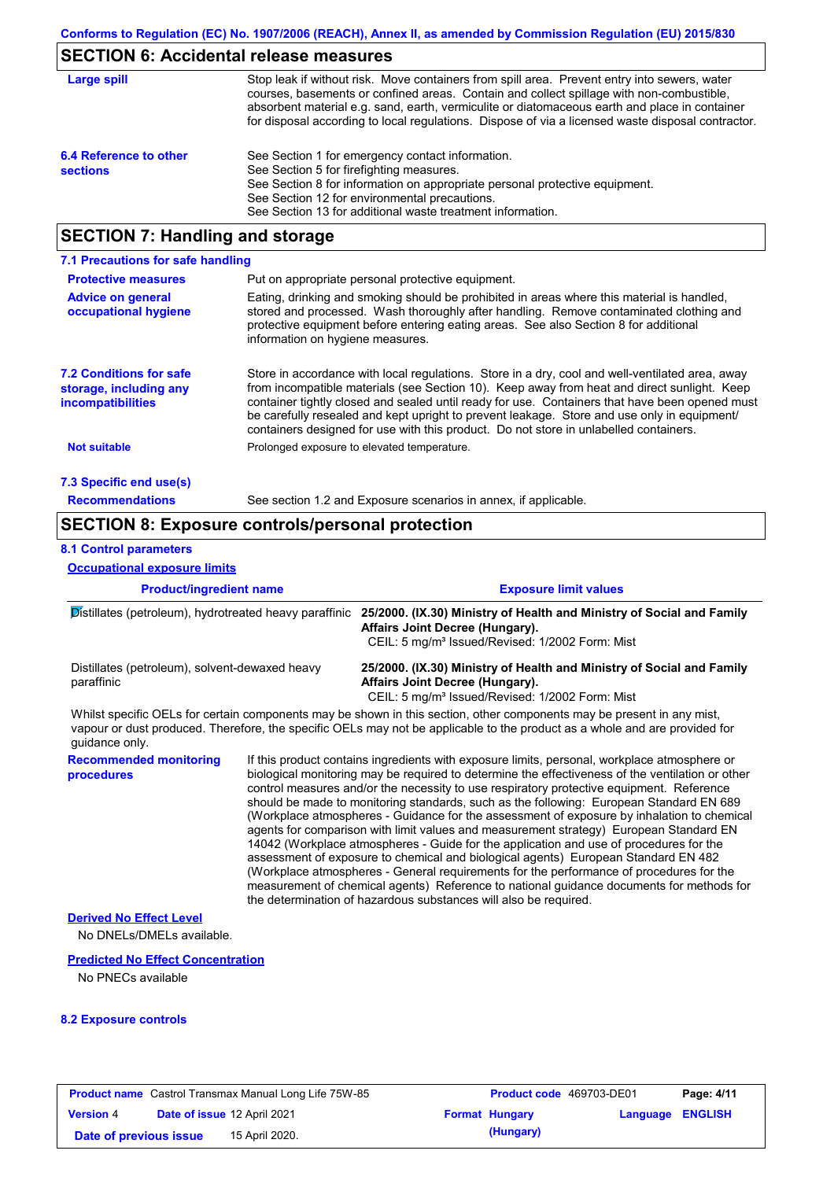### **SECTION 6: Accidental release measures**

| Large spill                               | Stop leak if without risk. Move containers from spill area. Prevent entry into sewers, water<br>courses, basements or confined areas. Contain and collect spillage with non-combustible,<br>absorbent material e.g. sand, earth, vermiculite or diatomaceous earth and place in container<br>for disposal according to local regulations. Dispose of via a licensed waste disposal contractor. |
|-------------------------------------------|------------------------------------------------------------------------------------------------------------------------------------------------------------------------------------------------------------------------------------------------------------------------------------------------------------------------------------------------------------------------------------------------|
| 6.4 Reference to other<br><b>sections</b> | See Section 1 for emergency contact information.<br>See Section 5 for firefighting measures.<br>See Section 8 for information on appropriate personal protective equipment.<br>See Section 12 for environmental precautions.<br>See Section 13 for additional waste treatment information.                                                                                                     |

### **SECTION 7: Handling and storage**

| 7.1 Precautions for safe handling                                                    |                                                                                                                                                                                                                                                                                                                                                                                                                                                                                          |
|--------------------------------------------------------------------------------------|------------------------------------------------------------------------------------------------------------------------------------------------------------------------------------------------------------------------------------------------------------------------------------------------------------------------------------------------------------------------------------------------------------------------------------------------------------------------------------------|
| <b>Protective measures</b>                                                           | Put on appropriate personal protective equipment.                                                                                                                                                                                                                                                                                                                                                                                                                                        |
| <b>Advice on general</b><br>occupational hygiene                                     | Eating, drinking and smoking should be prohibited in areas where this material is handled.<br>stored and processed. Wash thoroughly after handling. Remove contaminated clothing and<br>protective equipment before entering eating areas. See also Section 8 for additional<br>information on hygiene measures.                                                                                                                                                                         |
| <b>7.2 Conditions for safe</b><br>storage, including any<br><i>incompatibilities</i> | Store in accordance with local requlations. Store in a dry, cool and well-ventilated area, away<br>from incompatible materials (see Section 10). Keep away from heat and direct sunlight. Keep<br>container tightly closed and sealed until ready for use. Containers that have been opened must<br>be carefully resealed and kept upright to prevent leakage. Store and use only in equipment/<br>containers designed for use with this product. Do not store in unlabelled containers. |
| <b>Not suitable</b>                                                                  | Prolonged exposure to elevated temperature.                                                                                                                                                                                                                                                                                                                                                                                                                                              |
| 7.3 Specific end use(s)                                                              |                                                                                                                                                                                                                                                                                                                                                                                                                                                                                          |
| <b>Recommendations</b>                                                               | See section 1.2 and Exposure scenarios in annex, if applicable.                                                                                                                                                                                                                                                                                                                                                                                                                          |

### **SECTION 8: Exposure controls/personal protection**

#### **8.1 Control parameters**

**Occupational exposure limits**

**Product/ingredient name Exposure limit values Recommended monitoring procedures** If this product contains ingredients with exposure limits, personal, workplace atmosphere or biological monitoring may be required to determine the effectiveness of the ventilation or other control measures and/or the necessity to use respiratory protective equipment. Reference should be made to monitoring standards, such as the following: European Standard EN 689 (Workplace atmospheres - Guidance for the assessment of exposure by inhalation to chemical agents for comparison with limit values and measurement strategy) European Standard EN 14042 (Workplace atmospheres - Guide for the application and use of procedures for the assessment of exposure to chemical and biological agents) European Standard EN 482 (Workplace atmospheres - General requirements for the performance of procedures for the measurement of chemical agents) Reference to national guidance documents for methods for the determination of hazardous substances will also be required. Distillates (petroleum), hydrotreated heavy paraffinic **25/2000. (IX.30) Ministry of Health and Ministry of Social and Family Affairs Joint Decree (Hungary).** CEIL: 5 mg/m<sup>3</sup> Issued/Revised: 1/2002 Form: Mist Distillates (petroleum), solvent-dewaxed heavy paraffinic **25/2000. (IX.30) Ministry of Health and Ministry of Social and Family Affairs Joint Decree (Hungary).** CEIL: 5 mg/m<sup>3</sup> Issued/Revised: 1/2002 Form: Mist No DNELs/DMELs available. **Predicted No Effect Concentration** No PNECs available **Derived No Effect Level** Whilst specific OELs for certain components may be shown in this section, other components may be present in any mist, vapour or dust produced. Therefore, the specific OELs may not be applicable to the product as a whole and are provided for guidance only.

#### **8.2 Exposure controls**

| <b>Product name</b> Castrol Transmax Manual Long Life 75W-85 |  |                             | <b>Product code</b> 469703-DE01 |                  | Page: 4/11 |
|--------------------------------------------------------------|--|-----------------------------|---------------------------------|------------------|------------|
| <b>Version 4</b>                                             |  | Date of issue 12 April 2021 | <b>Format Hungary</b>           | Language ENGLISH |            |
| Date of previous issue                                       |  | 15 April 2020.              | (Hungary)                       |                  |            |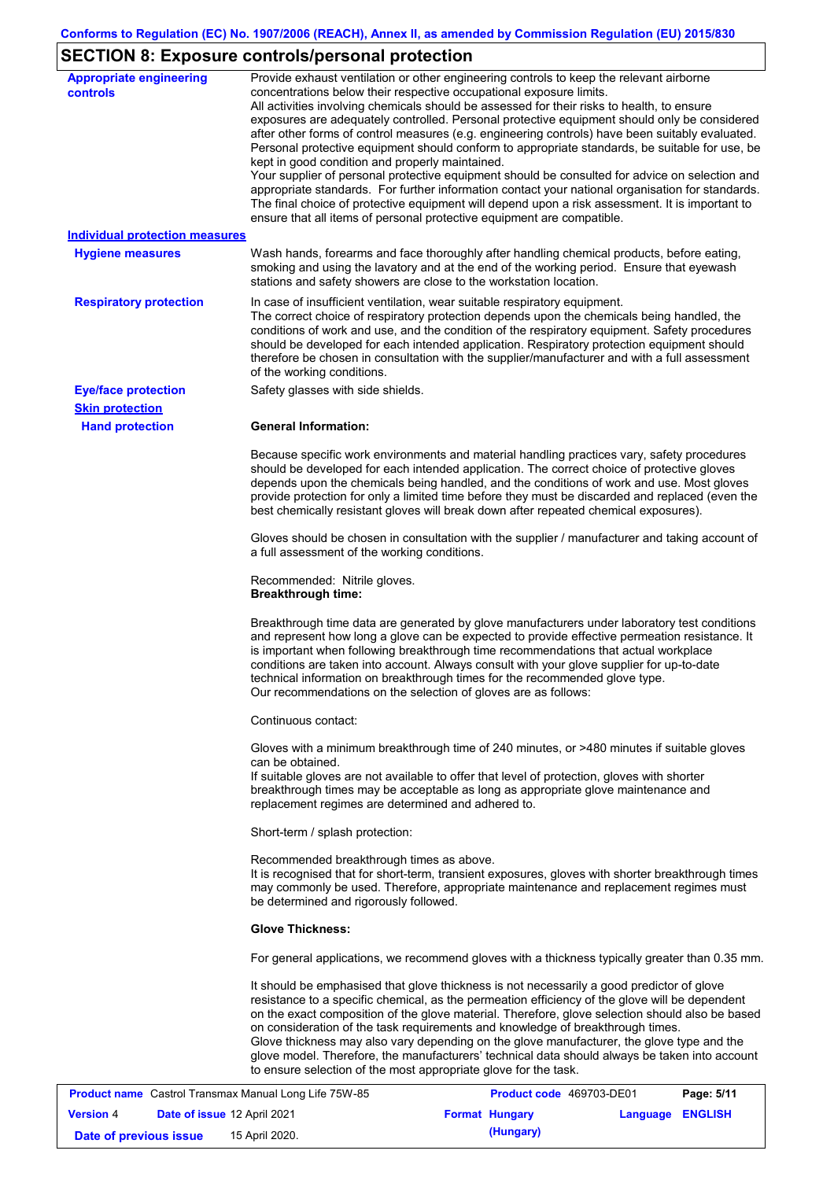# **SECTION 8: Exposure controls/personal protection**

| <b>Appropriate engineering</b><br><b>controls</b> | Provide exhaust ventilation or other engineering controls to keep the relevant airborne<br>concentrations below their respective occupational exposure limits.<br>All activities involving chemicals should be assessed for their risks to health, to ensure<br>exposures are adequately controlled. Personal protective equipment should only be considered<br>after other forms of control measures (e.g. engineering controls) have been suitably evaluated.<br>Personal protective equipment should conform to appropriate standards, be suitable for use, be<br>kept in good condition and properly maintained.<br>Your supplier of personal protective equipment should be consulted for advice on selection and<br>appropriate standards. For further information contact your national organisation for standards.<br>The final choice of protective equipment will depend upon a risk assessment. It is important to<br>ensure that all items of personal protective equipment are compatible. |  |  |
|---------------------------------------------------|---------------------------------------------------------------------------------------------------------------------------------------------------------------------------------------------------------------------------------------------------------------------------------------------------------------------------------------------------------------------------------------------------------------------------------------------------------------------------------------------------------------------------------------------------------------------------------------------------------------------------------------------------------------------------------------------------------------------------------------------------------------------------------------------------------------------------------------------------------------------------------------------------------------------------------------------------------------------------------------------------------|--|--|
| <b>Individual protection measures</b>             |                                                                                                                                                                                                                                                                                                                                                                                                                                                                                                                                                                                                                                                                                                                                                                                                                                                                                                                                                                                                         |  |  |
| <b>Hygiene measures</b>                           | Wash hands, forearms and face thoroughly after handling chemical products, before eating,<br>smoking and using the lavatory and at the end of the working period. Ensure that eyewash<br>stations and safety showers are close to the workstation location.                                                                                                                                                                                                                                                                                                                                                                                                                                                                                                                                                                                                                                                                                                                                             |  |  |
| <b>Respiratory protection</b>                     | In case of insufficient ventilation, wear suitable respiratory equipment.<br>The correct choice of respiratory protection depends upon the chemicals being handled, the<br>conditions of work and use, and the condition of the respiratory equipment. Safety procedures<br>should be developed for each intended application. Respiratory protection equipment should<br>therefore be chosen in consultation with the supplier/manufacturer and with a full assessment<br>of the working conditions.                                                                                                                                                                                                                                                                                                                                                                                                                                                                                                   |  |  |
| <b>Eye/face protection</b>                        | Safety glasses with side shields.                                                                                                                                                                                                                                                                                                                                                                                                                                                                                                                                                                                                                                                                                                                                                                                                                                                                                                                                                                       |  |  |
| <b>Skin protection</b>                            |                                                                                                                                                                                                                                                                                                                                                                                                                                                                                                                                                                                                                                                                                                                                                                                                                                                                                                                                                                                                         |  |  |
| <b>Hand protection</b>                            | <b>General Information:</b>                                                                                                                                                                                                                                                                                                                                                                                                                                                                                                                                                                                                                                                                                                                                                                                                                                                                                                                                                                             |  |  |
|                                                   | Because specific work environments and material handling practices vary, safety procedures<br>should be developed for each intended application. The correct choice of protective gloves<br>depends upon the chemicals being handled, and the conditions of work and use. Most gloves<br>provide protection for only a limited time before they must be discarded and replaced (even the<br>best chemically resistant gloves will break down after repeated chemical exposures).                                                                                                                                                                                                                                                                                                                                                                                                                                                                                                                        |  |  |
|                                                   | Gloves should be chosen in consultation with the supplier / manufacturer and taking account of<br>a full assessment of the working conditions.                                                                                                                                                                                                                                                                                                                                                                                                                                                                                                                                                                                                                                                                                                                                                                                                                                                          |  |  |
|                                                   | Recommended: Nitrile gloves.<br><b>Breakthrough time:</b>                                                                                                                                                                                                                                                                                                                                                                                                                                                                                                                                                                                                                                                                                                                                                                                                                                                                                                                                               |  |  |
|                                                   | Breakthrough time data are generated by glove manufacturers under laboratory test conditions<br>and represent how long a glove can be expected to provide effective permeation resistance. It<br>is important when following breakthrough time recommendations that actual workplace<br>conditions are taken into account. Always consult with your glove supplier for up-to-date<br>technical information on breakthrough times for the recommended glove type.<br>Our recommendations on the selection of gloves are as follows:                                                                                                                                                                                                                                                                                                                                                                                                                                                                      |  |  |
|                                                   | Continuous contact:                                                                                                                                                                                                                                                                                                                                                                                                                                                                                                                                                                                                                                                                                                                                                                                                                                                                                                                                                                                     |  |  |
|                                                   | Gloves with a minimum breakthrough time of 240 minutes, or >480 minutes if suitable gloves<br>can be obtained.<br>If suitable gloves are not available to offer that level of protection, gloves with shorter<br>breakthrough times may be acceptable as long as appropriate glove maintenance and<br>replacement regimes are determined and adhered to.                                                                                                                                                                                                                                                                                                                                                                                                                                                                                                                                                                                                                                                |  |  |
|                                                   | Short-term / splash protection:                                                                                                                                                                                                                                                                                                                                                                                                                                                                                                                                                                                                                                                                                                                                                                                                                                                                                                                                                                         |  |  |
|                                                   | Recommended breakthrough times as above.<br>It is recognised that for short-term, transient exposures, gloves with shorter breakthrough times<br>may commonly be used. Therefore, appropriate maintenance and replacement regimes must<br>be determined and rigorously followed.                                                                                                                                                                                                                                                                                                                                                                                                                                                                                                                                                                                                                                                                                                                        |  |  |
|                                                   | <b>Glove Thickness:</b>                                                                                                                                                                                                                                                                                                                                                                                                                                                                                                                                                                                                                                                                                                                                                                                                                                                                                                                                                                                 |  |  |
|                                                   | For general applications, we recommend gloves with a thickness typically greater than 0.35 mm.                                                                                                                                                                                                                                                                                                                                                                                                                                                                                                                                                                                                                                                                                                                                                                                                                                                                                                          |  |  |
|                                                   | It should be emphasised that glove thickness is not necessarily a good predictor of glove<br>resistance to a specific chemical, as the permeation efficiency of the glove will be dependent<br>on the exact composition of the glove material. Therefore, glove selection should also be based<br>on consideration of the task requirements and knowledge of breakthrough times.<br>Glove thickness may also vary depending on the glove manufacturer, the glove type and the<br>glove model. Therefore, the manufacturers' technical data should always be taken into account<br>to ensure selection of the most appropriate glove for the task.                                                                                                                                                                                                                                                                                                                                                       |  |  |

| <b>Product name</b> Castrol Transmax Manual Long Life 75W-85 |  |                                    | Product code 469703-DE01 | Page: 5/11            |                  |  |
|--------------------------------------------------------------|--|------------------------------------|--------------------------|-----------------------|------------------|--|
| <b>Version 4</b>                                             |  | <b>Date of issue 12 April 2021</b> |                          | <b>Format Hungary</b> | Language ENGLISH |  |
| Date of previous issue                                       |  | 15 April 2020.                     |                          | (Hungary)             |                  |  |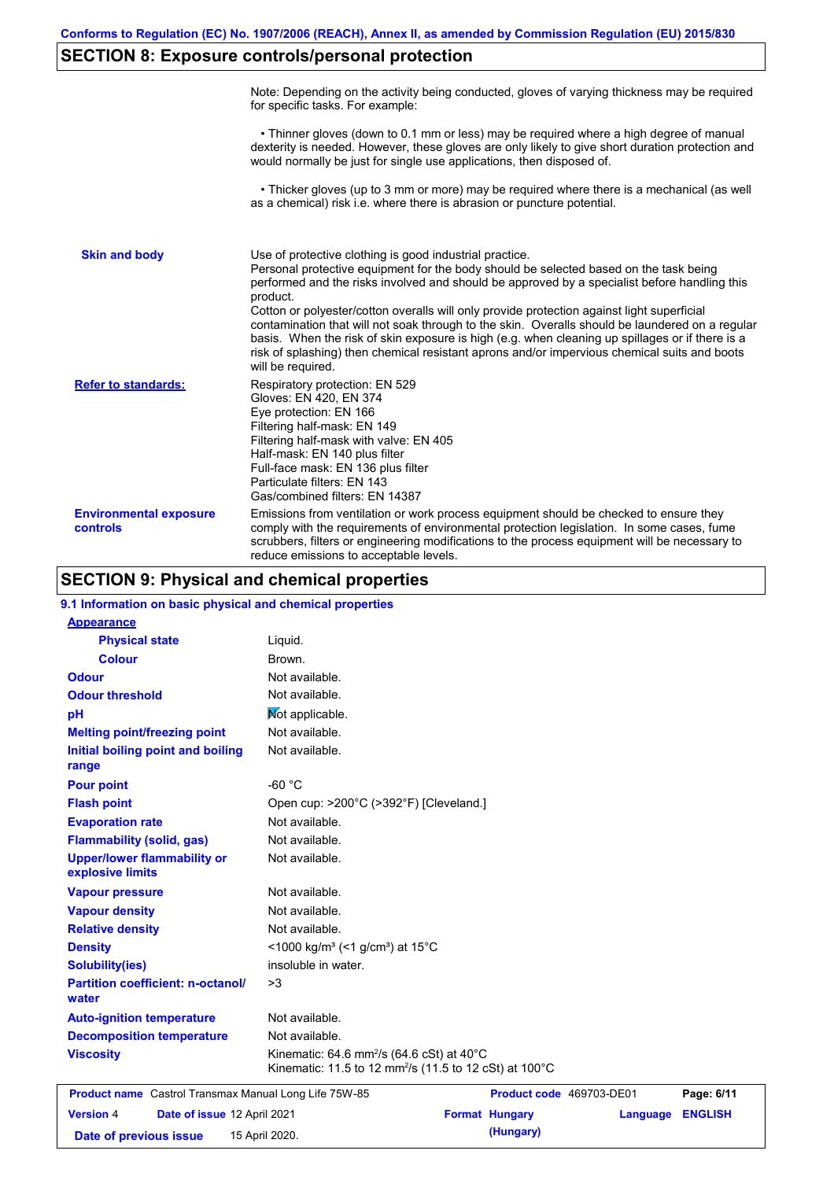# **SECTION 8: Exposure controls/personal protection**

|                                           | Note: Depending on the activity being conducted, gloves of varying thickness may be required<br>for specific tasks. For example:                                                                                                                                                                                                                                                                                                                                                                                                                                                                                                                                                      |
|-------------------------------------------|---------------------------------------------------------------------------------------------------------------------------------------------------------------------------------------------------------------------------------------------------------------------------------------------------------------------------------------------------------------------------------------------------------------------------------------------------------------------------------------------------------------------------------------------------------------------------------------------------------------------------------------------------------------------------------------|
|                                           | • Thinner gloves (down to 0.1 mm or less) may be required where a high degree of manual<br>dexterity is needed. However, these gloves are only likely to give short duration protection and<br>would normally be just for single use applications, then disposed of.                                                                                                                                                                                                                                                                                                                                                                                                                  |
|                                           | • Thicker gloves (up to 3 mm or more) may be required where there is a mechanical (as well<br>as a chemical) risk i.e. where there is abrasion or puncture potential.                                                                                                                                                                                                                                                                                                                                                                                                                                                                                                                 |
| <b>Skin and body</b>                      | Use of protective clothing is good industrial practice.<br>Personal protective equipment for the body should be selected based on the task being<br>performed and the risks involved and should be approved by a specialist before handling this<br>product.<br>Cotton or polyester/cotton overalls will only provide protection against light superficial<br>contamination that will not soak through to the skin. Overalls should be laundered on a regular<br>basis. When the risk of skin exposure is high (e.g. when cleaning up spillages or if there is a<br>risk of splashing) then chemical resistant aprons and/or impervious chemical suits and boots<br>will be required. |
| <b>Refer to standards:</b>                | Respiratory protection: EN 529<br>Gloves: EN 420, EN 374<br>Eye protection: EN 166<br>Filtering half-mask: EN 149<br>Filtering half-mask with valve: EN 405<br>Half-mask: EN 140 plus filter<br>Full-face mask: EN 136 plus filter<br>Particulate filters: EN 143<br>Gas/combined filters: EN 14387                                                                                                                                                                                                                                                                                                                                                                                   |
| <b>Environmental exposure</b><br>controls | Emissions from ventilation or work process equipment should be checked to ensure they<br>comply with the requirements of environmental protection legislation. In some cases, fume<br>scrubbers, filters or engineering modifications to the process equipment will be necessary to<br>reduce emissions to acceptable levels.                                                                                                                                                                                                                                                                                                                                                         |

## **SECTION 9: Physical and chemical properties**

| 9.1 Information on basic physical and chemical properties |                                                                                                                                       |                       |                          |                |
|-----------------------------------------------------------|---------------------------------------------------------------------------------------------------------------------------------------|-----------------------|--------------------------|----------------|
| <b>Appearance</b>                                         |                                                                                                                                       |                       |                          |                |
| <b>Physical state</b>                                     | Liquid.                                                                                                                               |                       |                          |                |
| <b>Colour</b>                                             | Brown.                                                                                                                                |                       |                          |                |
| <b>Odour</b>                                              | Not available.                                                                                                                        |                       |                          |                |
| <b>Odour threshold</b>                                    | Not available.                                                                                                                        |                       |                          |                |
| pH                                                        | Mot applicable.                                                                                                                       |                       |                          |                |
| <b>Melting point/freezing point</b>                       | Not available.                                                                                                                        |                       |                          |                |
| Initial boiling point and boiling<br>range                | Not available.                                                                                                                        |                       |                          |                |
| <b>Pour point</b>                                         | $-60 °C$                                                                                                                              |                       |                          |                |
| <b>Flash point</b>                                        | Open cup: >200°C (>392°F) [Cleveland.]                                                                                                |                       |                          |                |
| <b>Evaporation rate</b>                                   | Not available.                                                                                                                        |                       |                          |                |
| <b>Flammability (solid, gas)</b>                          | Not available.                                                                                                                        |                       |                          |                |
| <b>Upper/lower flammability or</b><br>explosive limits    | Not available.                                                                                                                        |                       |                          |                |
| <b>Vapour pressure</b>                                    | Not available.                                                                                                                        |                       |                          |                |
| <b>Vapour density</b>                                     | Not available.                                                                                                                        |                       |                          |                |
| <b>Relative density</b>                                   | Not available.                                                                                                                        |                       |                          |                |
| <b>Density</b>                                            | <1000 kg/m <sup>3</sup> (<1 g/cm <sup>3</sup> ) at 15°C                                                                               |                       |                          |                |
| <b>Solubility(ies)</b>                                    | insoluble in water.                                                                                                                   |                       |                          |                |
| <b>Partition coefficient: n-octanol/</b><br>water         | >3                                                                                                                                    |                       |                          |                |
| <b>Auto-ignition temperature</b>                          | Not available.                                                                                                                        |                       |                          |                |
| <b>Decomposition temperature</b>                          | Not available.                                                                                                                        |                       |                          |                |
| <b>Viscosity</b>                                          | Kinematic: 64.6 mm <sup>2</sup> /s (64.6 cSt) at $40^{\circ}$ C<br>Kinematic: 11.5 to 12 mm <sup>2</sup> /s (11.5 to 12 cSt) at 100°C |                       |                          |                |
| Product name Castrol Transmax Manual Long Life 75W-85     |                                                                                                                                       |                       | Product code 469703-DE01 | Page: 6/11     |
| <b>Version 4</b><br>Date of issue 12 April 2021           |                                                                                                                                       | <b>Format Hungary</b> | Language                 | <b>ENGLISH</b> |
| Date of previous issue                                    | 15 April 2020.                                                                                                                        | (Hungary)             |                          |                |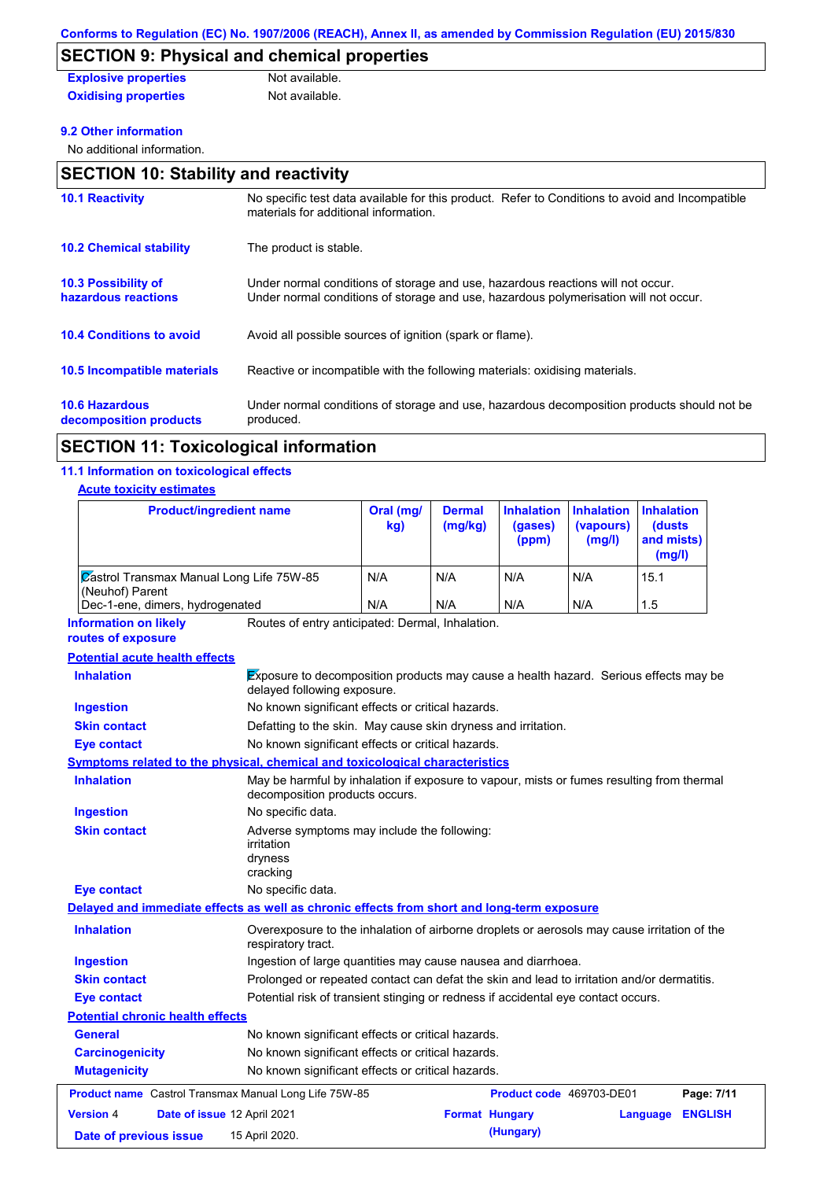# **SECTION 9: Physical and chemical properties**

| <b>Explosive properties</b> | Not available. |
|-----------------------------|----------------|
| <b>Oxidising properties</b> | Not available. |

#### **9.2 Other information**

No additional information.

| <b>SECTION 10: Stability and reactivity</b>       |                                                                                                                                                                         |  |  |
|---------------------------------------------------|-------------------------------------------------------------------------------------------------------------------------------------------------------------------------|--|--|
| <b>10.1 Reactivity</b>                            | No specific test data available for this product. Refer to Conditions to avoid and Incompatible<br>materials for additional information.                                |  |  |
| <b>10.2 Chemical stability</b>                    | The product is stable.                                                                                                                                                  |  |  |
| <b>10.3 Possibility of</b><br>hazardous reactions | Under normal conditions of storage and use, hazardous reactions will not occur.<br>Under normal conditions of storage and use, hazardous polymerisation will not occur. |  |  |
| <b>10.4 Conditions to avoid</b>                   | Avoid all possible sources of ignition (spark or flame).                                                                                                                |  |  |
| 10.5 Incompatible materials                       | Reactive or incompatible with the following materials: oxidising materials.                                                                                             |  |  |
| <b>10.6 Hazardous</b><br>decomposition products   | Under normal conditions of storage and use, hazardous decomposition products should not be<br>produced.                                                                 |  |  |

## **SECTION 11: Toxicological information**

### **11.1 Information on toxicological effects**

#### **Acute toxicity estimates**

| <b>Product/ingredient name</b>                                                             |                                                                                                                             | Oral (mg/<br>kg) | <b>Dermal</b><br>(mg/kg) | <b>Inhalation</b><br>(gases)<br>(ppm) | <b>Inhalation</b><br>(vapours)<br>(mg/l) | <b>Inhalation</b><br>(dusts<br>and mists)<br>(mg/l) |
|--------------------------------------------------------------------------------------------|-----------------------------------------------------------------------------------------------------------------------------|------------------|--------------------------|---------------------------------------|------------------------------------------|-----------------------------------------------------|
| <b>Zastrol Transmax Manual Long Life 75W-85</b><br>(Neuhof) Parent                         |                                                                                                                             | N/A              | N/A                      | N/A                                   | N/A                                      | 15.1                                                |
| Dec-1-ene, dimers, hydrogenated                                                            |                                                                                                                             | N/A              | N/A                      | N/A                                   | N/A                                      | 1.5                                                 |
| <b>Information on likely</b><br>routes of exposure                                         | Routes of entry anticipated: Dermal, Inhalation.                                                                            |                  |                          |                                       |                                          |                                                     |
| <b>Potential acute health effects</b>                                                      |                                                                                                                             |                  |                          |                                       |                                          |                                                     |
| <b>Inhalation</b>                                                                          | Exposure to decomposition products may cause a health hazard. Serious effects may be<br>delayed following exposure.         |                  |                          |                                       |                                          |                                                     |
| <b>Ingestion</b>                                                                           | No known significant effects or critical hazards.                                                                           |                  |                          |                                       |                                          |                                                     |
| <b>Skin contact</b>                                                                        | Defatting to the skin. May cause skin dryness and irritation.                                                               |                  |                          |                                       |                                          |                                                     |
| Eye contact                                                                                | No known significant effects or critical hazards.                                                                           |                  |                          |                                       |                                          |                                                     |
| Symptoms related to the physical, chemical and toxicological characteristics               |                                                                                                                             |                  |                          |                                       |                                          |                                                     |
| <b>Inhalation</b>                                                                          | May be harmful by inhalation if exposure to vapour, mists or fumes resulting from thermal<br>decomposition products occurs. |                  |                          |                                       |                                          |                                                     |
| <b>Ingestion</b>                                                                           | No specific data.                                                                                                           |                  |                          |                                       |                                          |                                                     |
| <b>Skin contact</b>                                                                        | Adverse symptoms may include the following:<br>irritation<br>dryness<br>cracking                                            |                  |                          |                                       |                                          |                                                     |
| <b>Eye contact</b>                                                                         | No specific data.                                                                                                           |                  |                          |                                       |                                          |                                                     |
| Delayed and immediate effects as well as chronic effects from short and long-term exposure |                                                                                                                             |                  |                          |                                       |                                          |                                                     |
| <b>Inhalation</b>                                                                          | Overexposure to the inhalation of airborne droplets or aerosols may cause irritation of the<br>respiratory tract.           |                  |                          |                                       |                                          |                                                     |
| <b>Ingestion</b>                                                                           | Ingestion of large quantities may cause nausea and diarrhoea.                                                               |                  |                          |                                       |                                          |                                                     |
| <b>Skin contact</b>                                                                        | Prolonged or repeated contact can defat the skin and lead to irritation and/or dermatitis.                                  |                  |                          |                                       |                                          |                                                     |
| <b>Eye contact</b>                                                                         | Potential risk of transient stinging or redness if accidental eye contact occurs.                                           |                  |                          |                                       |                                          |                                                     |
| <b>Potential chronic health effects</b>                                                    |                                                                                                                             |                  |                          |                                       |                                          |                                                     |
| General                                                                                    | No known significant effects or critical hazards.                                                                           |                  |                          |                                       |                                          |                                                     |
| <b>Carcinogenicity</b><br>No known significant effects or critical hazards.                |                                                                                                                             |                  |                          |                                       |                                          |                                                     |
| <b>Mutagenicity</b>                                                                        | No known significant effects or critical hazards.                                                                           |                  |                          |                                       |                                          |                                                     |
| Product name Castrol Transmax Manual Long Life 75W-85                                      |                                                                                                                             |                  |                          | Product code 469703-DE01              |                                          | Page: 7/11                                          |
| <b>Version 4</b>                                                                           | Date of issue 12 April 2021                                                                                                 |                  | <b>Format Hungary</b>    |                                       |                                          | <b>ENGLISH</b><br>Language                          |
|                                                                                            |                                                                                                                             |                  |                          |                                       |                                          |                                                     |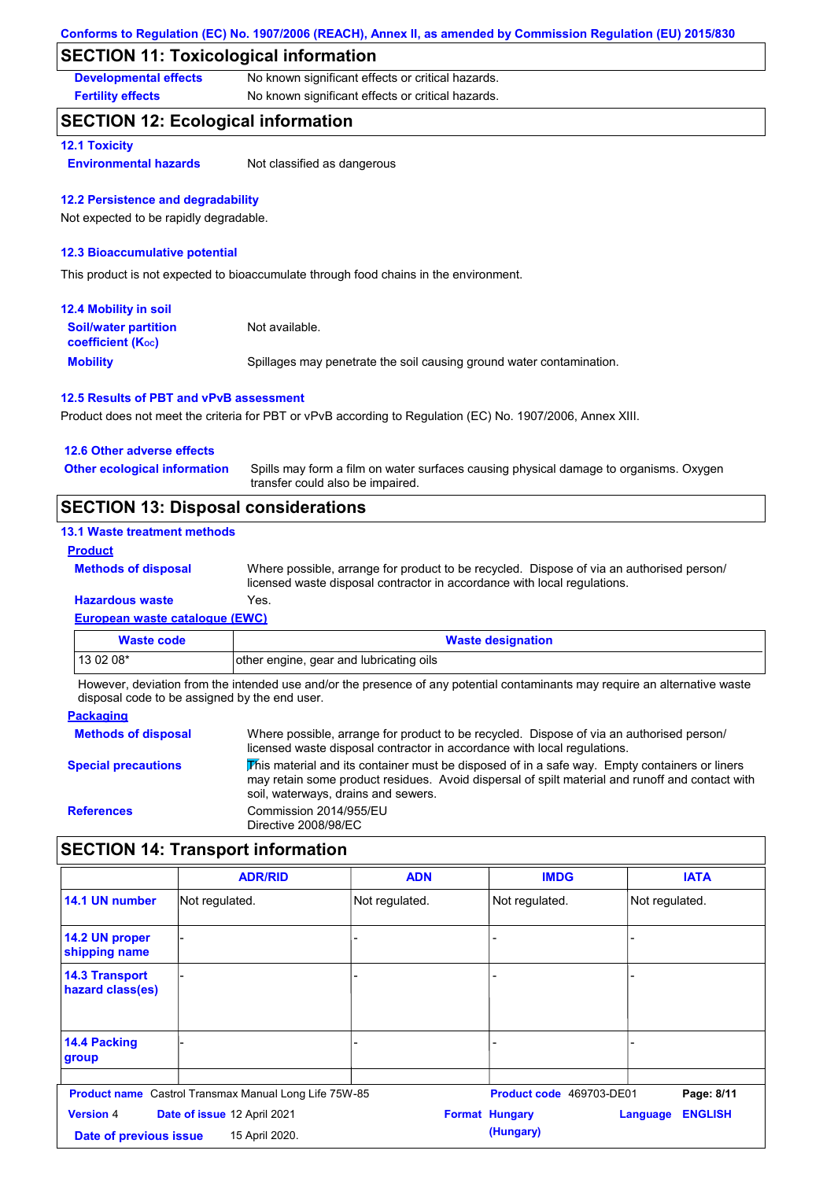### **SECTION 11: Toxicological information**

**Developmental effects** No known significant effects or critical hazards.

**Fertility effects** No known significant effects or critical hazards.

### **SECTION 12: Ecological information**

#### **12.1 Toxicity**

**Environmental hazards** Not classified as dangerous

#### **12.2 Persistence and degradability**

Not expected to be rapidly degradable.

#### **12.3 Bioaccumulative potential**

This product is not expected to bioaccumulate through food chains in the environment.

| <b>12.4 Mobility in soil</b>                                  |                                                                      |
|---------------------------------------------------------------|----------------------------------------------------------------------|
| <b>Soil/water partition</b><br>coefficient (K <sub>oc</sub> ) | Not available.                                                       |
| <b>Mobility</b>                                               | Spillages may penetrate the soil causing ground water contamination. |

#### **12.5 Results of PBT and vPvB assessment**

Product does not meet the criteria for PBT or vPvB according to Regulation (EC) No. 1907/2006, Annex XIII.

| <b>SECTION 13: Disposal considerations</b> |                                                                                                                           |  |  |  |
|--------------------------------------------|---------------------------------------------------------------------------------------------------------------------------|--|--|--|
| <b>Other ecological information</b>        | Spills may form a film on water surfaces causing physical damage to organisms. Oxygen<br>transfer could also be impaired. |  |  |  |
| 12.6 Other adverse effects                 |                                                                                                                           |  |  |  |

#### **13.1 Waste treatment methods**

#### **Product**

**Methods of disposal**

Where possible, arrange for product to be recycled. Dispose of via an authorised person/ licensed waste disposal contractor in accordance with local regulations.

### **Hazardous waste** Yes.

|  | European waste catalogue (EWC) |  |  |
|--|--------------------------------|--|--|
|  |                                |  |  |

| Waste code | <b>Waste designation</b>                |  |  |
|------------|-----------------------------------------|--|--|
| $130208*$  | other engine, gear and lubricating oils |  |  |

However, deviation from the intended use and/or the presence of any potential contaminants may require an alternative waste disposal code to be assigned by the end user.

| <b>Packaging</b>           |                                                                                                                                                                                                                                         |
|----------------------------|-----------------------------------------------------------------------------------------------------------------------------------------------------------------------------------------------------------------------------------------|
| <b>Methods of disposal</b> | Where possible, arrange for product to be recycled. Dispose of via an authorised person/<br>licensed waste disposal contractor in accordance with local regulations.                                                                    |
| <b>Special precautions</b> | This material and its container must be disposed of in a safe way. Empty containers or liners<br>may retain some product residues. Avoid dispersal of spilt material and runoff and contact with<br>soil, waterways, drains and sewers. |
| <b>References</b>          | Commission 2014/955/EU<br>Directive 2008/98/EC                                                                                                                                                                                          |

### **SECTION 14: Transport information**

|                                            | <b>ADR/RID</b>                                               | <b>ADN</b>     | <b>IMDG</b>                        | <b>IATA</b>                       |
|--------------------------------------------|--------------------------------------------------------------|----------------|------------------------------------|-----------------------------------|
| 14.1 UN number                             | Not regulated.                                               | Not regulated. | Not regulated.                     | Not regulated.                    |
| 14.2 UN proper<br>shipping name            |                                                              |                |                                    |                                   |
| <b>14.3 Transport</b><br>hazard class(es)  |                                                              |                | $\overline{\phantom{0}}$           |                                   |
| 14.4 Packing<br>group                      |                                                              | $\overline{a}$ |                                    |                                   |
|                                            | <b>Product name</b> Castrol Transmax Manual Long Life 75W-85 |                | Product code 469703-DE01           | Page: 8/11                        |
| <b>Version 4</b><br>Date of previous issue | Date of issue 12 April 2021<br>15 April 2020.                |                | <b>Format Hungary</b><br>(Hungary) | <b>ENGLISH</b><br><b>Language</b> |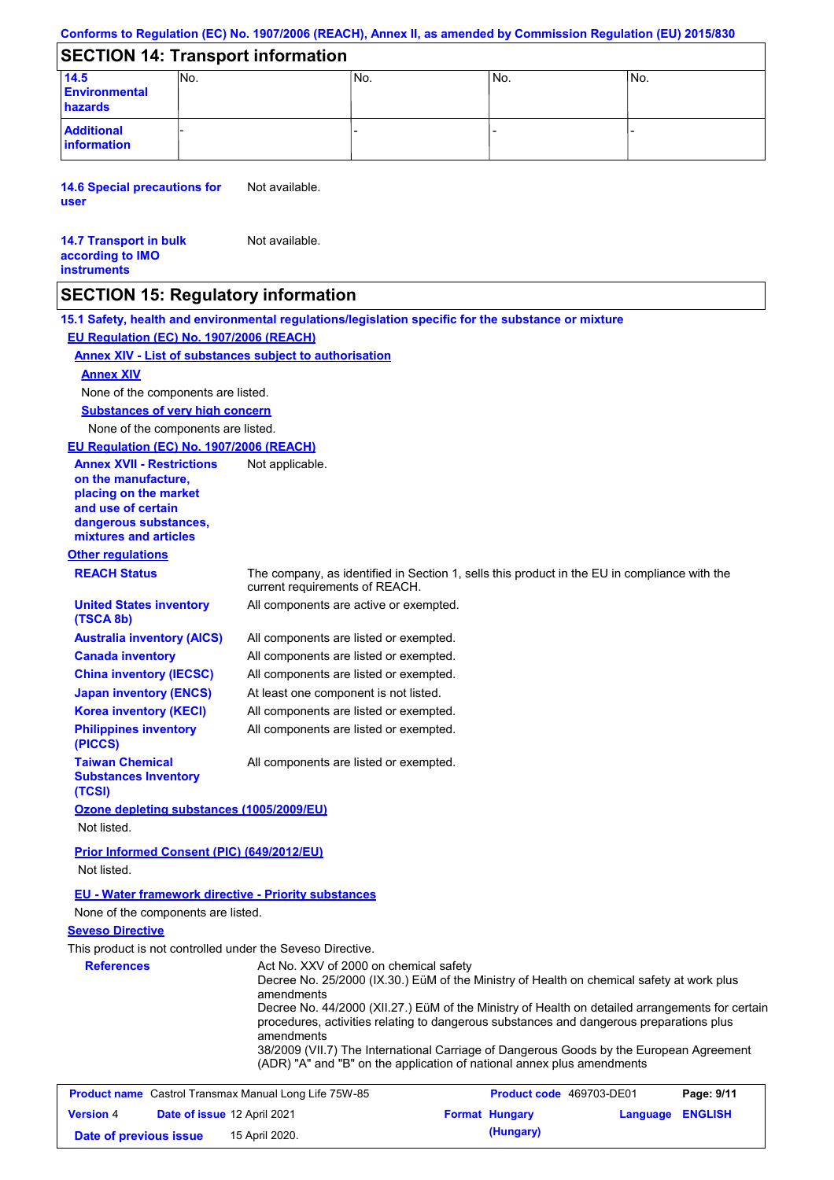#### **Conforms to Regulation (EC) No. 1907/2006 (REACH), Annex II, as amended by Commission Regulation (EU) 2015/830**

### **SECTION 14: Transport information**

| 14.5<br><b>Environmental</b><br>hazards | INo. | No. | INo. | No. |  |
|-----------------------------------------|------|-----|------|-----|--|
| <b>Additional</b><br>information        |      |     |      |     |  |

**14.6 Special precautions for user** Not available.

#### **14.7 Transport in bulk according to IMO instruments** Not available.

### **SECTION 15: Regulatory information**

**15.1 Safety, health and environmental regulations/legislation specific for the substance or mixture EU Regulation (EC) No. 1907/2006 (REACH)**

#### **Annex XIV - List of substances subject to authorisation**

### **Annex XIV**

None of the components are listed.

**Substances of very high concern**

None of the components are listed.

#### **EU Regulation (EC) No. 1907/2006 (REACH)**

| <b>Annex XVII - Restrictions</b><br>on the manufacture,<br>placing on the market<br>and use of certain<br>dangerous substances,<br>mixtures and articles | Not applicable.                                                                                                                                                                                          |
|----------------------------------------------------------------------------------------------------------------------------------------------------------|----------------------------------------------------------------------------------------------------------------------------------------------------------------------------------------------------------|
| <b>Other regulations</b>                                                                                                                                 |                                                                                                                                                                                                          |
| <b>REACH Status</b>                                                                                                                                      | The company, as identified in Section 1, sells this product in the EU in compliance with the<br>current requirements of REACH.                                                                           |
| <b>United States inventory</b><br>(TSCA 8b)                                                                                                              | All components are active or exempted.                                                                                                                                                                   |
| <b>Australia inventory (AICS)</b>                                                                                                                        | All components are listed or exempted.                                                                                                                                                                   |
| <b>Canada inventory</b>                                                                                                                                  | All components are listed or exempted.                                                                                                                                                                   |
| <b>China inventory (IECSC)</b>                                                                                                                           | All components are listed or exempted.                                                                                                                                                                   |
| <b>Japan inventory (ENCS)</b>                                                                                                                            | At least one component is not listed.                                                                                                                                                                    |
| <b>Korea inventory (KECI)</b>                                                                                                                            | All components are listed or exempted.                                                                                                                                                                   |
| <b>Philippines inventory</b><br>(PICCS)                                                                                                                  | All components are listed or exempted.                                                                                                                                                                   |
| <b>Taiwan Chemical</b><br><b>Substances Inventory</b><br>(TCSI)                                                                                          | All components are listed or exempted.                                                                                                                                                                   |
| Ozone depleting substances (1005/2009/EU)                                                                                                                |                                                                                                                                                                                                          |
| Not listed.                                                                                                                                              |                                                                                                                                                                                                          |
| Prior Informed Consent (PIC) (649/2012/EU)<br>Not listed.                                                                                                |                                                                                                                                                                                                          |
| <b>EU - Water framework directive - Priority substances</b>                                                                                              |                                                                                                                                                                                                          |
| None of the components are listed.                                                                                                                       |                                                                                                                                                                                                          |
| <b>Seveso Directive</b>                                                                                                                                  |                                                                                                                                                                                                          |
| This product is not controlled under the Seveso Directive.                                                                                               |                                                                                                                                                                                                          |
| <b>References</b>                                                                                                                                        | Act No. XXV of 2000 on chemical safety<br>Decree No. 25/2000 (IX.30.) EüM of the Ministry of Health on chemical safety at work plus<br>amendments                                                        |
|                                                                                                                                                          | Decree No. 44/2000 (XII.27.) EüM of the Ministry of Health on detailed arrangements for certain<br>procedures, activities relating to dangerous substances and dangerous preparations plus<br>amendments |
|                                                                                                                                                          | 38/2009 (VII.7) The International Carriage of Dangerous Goods by the European Agreement<br>(ADR) "A" and "B" on the application of national annex plus amendments                                        |

| <b>Product name</b> Castrol Transmax Manual Long Life 75W-85 |                                    | <b>Product code</b> 469703-DE01 |  | Page: 9/11            |                  |  |
|--------------------------------------------------------------|------------------------------------|---------------------------------|--|-----------------------|------------------|--|
| <b>Version 4</b>                                             | <b>Date of issue 12 April 2021</b> |                                 |  | <b>Format Hungary</b> | Language ENGLISH |  |
| Date of previous issue                                       |                                    | 15 April 2020.                  |  | (Hungary)             |                  |  |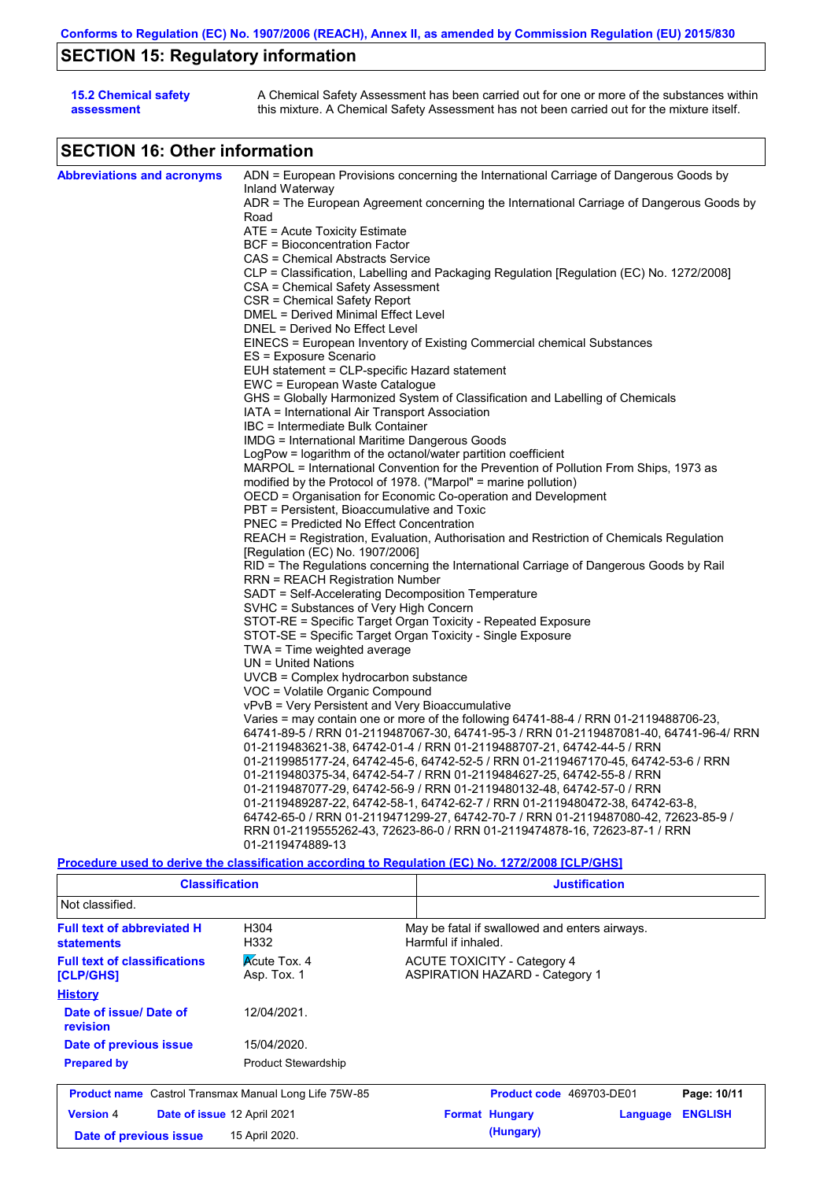# **SECTION 15: Regulatory information**

| <b>15.2 Chemical safety</b> | A Chemical Safety Assessment has been carried out for one or more of the substances within  |
|-----------------------------|---------------------------------------------------------------------------------------------|
| assessment                  | this mixture. A Chemical Safety Assessment has not been carried out for the mixture itself. |

# **SECTION 16: Other information**

| <b>Abbreviations and acronyms</b> | ADN = European Provisions concerning the International Carriage of Dangerous Goods by<br>Inland Waterway                                                       |
|-----------------------------------|----------------------------------------------------------------------------------------------------------------------------------------------------------------|
|                                   | ADR = The European Agreement concerning the International Carriage of Dangerous Goods by                                                                       |
|                                   | Road                                                                                                                                                           |
|                                   | $ATE = Acute Toxicity Estimate$                                                                                                                                |
|                                   | <b>BCF</b> = Bioconcentration Factor                                                                                                                           |
|                                   | CAS = Chemical Abstracts Service                                                                                                                               |
|                                   | CLP = Classification, Labelling and Packaging Regulation [Regulation (EC) No. 1272/2008]                                                                       |
|                                   | CSA = Chemical Safety Assessment                                                                                                                               |
|                                   | CSR = Chemical Safety Report                                                                                                                                   |
|                                   | DMEL = Derived Minimal Effect Level                                                                                                                            |
|                                   | DNEL = Derived No Effect Level                                                                                                                                 |
|                                   | EINECS = European Inventory of Existing Commercial chemical Substances                                                                                         |
|                                   | ES = Exposure Scenario                                                                                                                                         |
|                                   | EUH statement = CLP-specific Hazard statement                                                                                                                  |
|                                   | EWC = European Waste Catalogue                                                                                                                                 |
|                                   | GHS = Globally Harmonized System of Classification and Labelling of Chemicals                                                                                  |
|                                   | IATA = International Air Transport Association                                                                                                                 |
|                                   | IBC = Intermediate Bulk Container                                                                                                                              |
|                                   | IMDG = International Maritime Dangerous Goods                                                                                                                  |
|                                   | LogPow = logarithm of the octanol/water partition coefficient                                                                                                  |
|                                   | MARPOL = International Convention for the Prevention of Pollution From Ships, 1973 as                                                                          |
|                                   | modified by the Protocol of 1978. ("Marpol" = marine pollution)                                                                                                |
|                                   | OECD = Organisation for Economic Co-operation and Development                                                                                                  |
|                                   | PBT = Persistent, Bioaccumulative and Toxic                                                                                                                    |
|                                   | <b>PNEC = Predicted No Effect Concentration</b>                                                                                                                |
|                                   | REACH = Registration, Evaluation, Authorisation and Restriction of Chemicals Regulation                                                                        |
|                                   | [Regulation (EC) No. 1907/2006]                                                                                                                                |
|                                   | RID = The Regulations concerning the International Carriage of Dangerous Goods by Rail                                                                         |
|                                   | RRN = REACH Registration Number                                                                                                                                |
|                                   | SADT = Self-Accelerating Decomposition Temperature                                                                                                             |
|                                   | SVHC = Substances of Very High Concern                                                                                                                         |
|                                   | STOT-RE = Specific Target Organ Toxicity - Repeated Exposure                                                                                                   |
|                                   | STOT-SE = Specific Target Organ Toxicity - Single Exposure                                                                                                     |
|                                   | TWA = Time weighted average                                                                                                                                    |
|                                   | $UN = United Nations$                                                                                                                                          |
|                                   | $UVCB = Complex\;hydrocarbon\; substance$                                                                                                                      |
|                                   | VOC = Volatile Organic Compound                                                                                                                                |
|                                   | vPvB = Very Persistent and Very Bioaccumulative                                                                                                                |
|                                   | Varies = may contain one or more of the following 64741-88-4 / RRN 01-2119488706-23,                                                                           |
|                                   | 64741-89-5 / RRN 01-2119487067-30, 64741-95-3 / RRN 01-2119487081-40, 64741-96-4/ RRN<br>01-2119483621-38, 64742-01-4 / RRN 01-2119488707-21, 64742-44-5 / RRN |
|                                   |                                                                                                                                                                |
|                                   | 01-2119985177-24, 64742-45-6, 64742-52-5 / RRN 01-2119467170-45, 64742-53-6 / RRN                                                                              |
|                                   | 01-2119480375-34, 64742-54-7 / RRN 01-2119484627-25, 64742-55-8 / RRN                                                                                          |
|                                   | 01-2119487077-29, 64742-56-9 / RRN 01-2119480132-48, 64742-57-0 / RRN                                                                                          |
|                                   | 01-2119489287-22, 64742-58-1, 64742-62-7 / RRN 01-2119480472-38, 64742-63-8,                                                                                   |
|                                   | 64742-65-0 / RRN 01-2119471299-27, 64742-70-7 / RRN 01-2119487080-42, 72623-85-9 /                                                                             |
|                                   | RRN 01-2119555262-43, 72623-86-0 / RRN 01-2119474878-16, 72623-87-1 / RRN                                                                                      |
|                                   | 01-2119474889-13                                                                                                                                               |
|                                   | $\sim$                                                                                                                                                         |

**Procedure used to derive the classification according to Regulation (EC) No. 1272/2008 [CLP/GHS]**

| <b>Classification</b>                                        |                                    |                                                                             | <b>Justification</b> |                |  |
|--------------------------------------------------------------|------------------------------------|-----------------------------------------------------------------------------|----------------------|----------------|--|
| Not classified.                                              |                                    |                                                                             |                      |                |  |
| <b>Full text of abbreviated H</b><br><b>statements</b>       | H304<br>H332                       | May be fatal if swallowed and enters airways.<br>Harmful if inhaled.        |                      |                |  |
| <b>Full text of classifications</b><br>[CLP/GHS]             | <b>Acute Tox. 4</b><br>Asp. Tox. 1 | <b>ACUTE TOXICITY - Category 4</b><br><b>ASPIRATION HAZARD - Category 1</b> |                      |                |  |
| <b>History</b>                                               |                                    |                                                                             |                      |                |  |
| Date of issue/Date of<br>revision                            | 12/04/2021.                        |                                                                             |                      |                |  |
| Date of previous issue                                       | 15/04/2020.                        |                                                                             |                      |                |  |
| <b>Prepared by</b>                                           | <b>Product Stewardship</b>         |                                                                             |                      |                |  |
| <b>Product name</b> Castrol Transmax Manual Long Life 75W-85 |                                    | Product code 469703-DE01                                                    |                      | Page: 10/11    |  |
| <b>Version 4</b>                                             | Date of issue 12 April 2021        | <b>Format Hungary</b>                                                       | Language             | <b>ENGLISH</b> |  |
| Date of previous issue                                       | 15 April 2020.                     | (Hungary)                                                                   |                      |                |  |